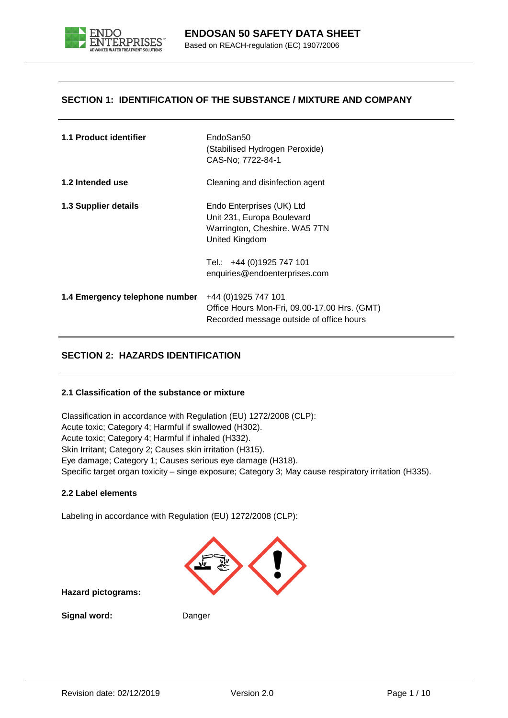

### **SECTION 1: IDENTIFICATION OF THE SUBSTANCE / MIXTURE AND COMPANY**

| 1.1 Product identifier         | EndoSan50<br>(Stabilised Hydrogen Peroxide)<br>CAS-No; 7722-84-1                                                 |
|--------------------------------|------------------------------------------------------------------------------------------------------------------|
| 1.2 Intended use               | Cleaning and disinfection agent                                                                                  |
| 1.3 Supplier details           | Endo Enterprises (UK) Ltd<br>Unit 231, Europa Boulevard<br>Warrington, Cheshire. WA5 7TN<br>United Kingdom       |
|                                | Tel.: +44 (0)1925 747 101<br>enquiries@endoenterprises.com                                                       |
| 1.4 Emergency telephone number | +44 (0) 1925 747 101<br>Office Hours Mon-Fri, 09.00-17.00 Hrs. (GMT)<br>Recorded message outside of office hours |

### **SECTION 2: HAZARDS IDENTIFICATION**

#### **2.1 Classification of the substance or mixture**

Classification in accordance with Regulation (EU) 1272/2008 (CLP): Acute toxic; Category 4; Harmful if swallowed (H302). Acute toxic; Category 4; Harmful if inhaled (H332). Skin Irritant; Category 2; Causes skin irritation (H315). Eye damage; Category 1; Causes serious eye damage (H318). Specific target organ toxicity – singe exposure; Category 3; May cause respiratory irritation (H335).

#### **2.2 Label elements**

Labeling in accordance with Regulation (EU) 1272/2008 (CLP):



**Hazard pictograms:** 

**Signal word:** Danger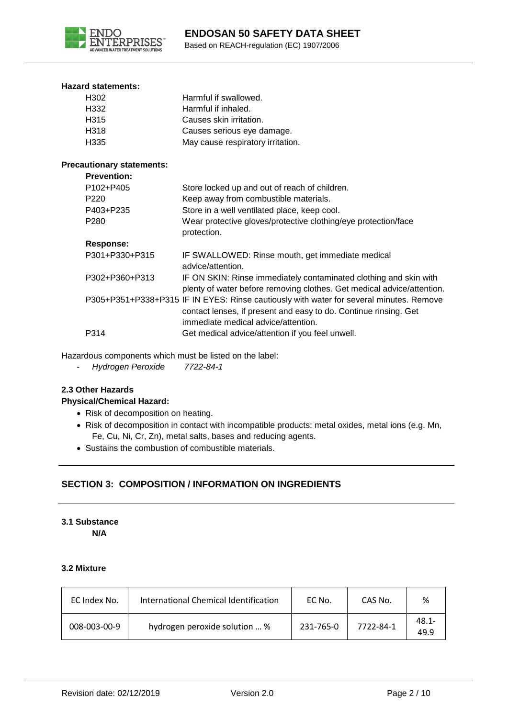

#### **Hazard statements:**

| H302                             | Harmful if swallowed.                                                                                                                                                                              |
|----------------------------------|----------------------------------------------------------------------------------------------------------------------------------------------------------------------------------------------------|
| H332                             | Harmful if inhaled.                                                                                                                                                                                |
| H315                             | Causes skin irritation.                                                                                                                                                                            |
| H318                             | Causes serious eye damage.                                                                                                                                                                         |
| H335                             | May cause respiratory irritation.                                                                                                                                                                  |
| <b>Precautionary statements:</b> |                                                                                                                                                                                                    |
| <b>Prevention:</b>               |                                                                                                                                                                                                    |
| P102+P405                        | Store locked up and out of reach of children.                                                                                                                                                      |
| P <sub>220</sub>                 | Keep away from combustible materials.                                                                                                                                                              |
| P403+P235                        | Store in a well ventilated place, keep cool.                                                                                                                                                       |
| P <sub>280</sub>                 | Wear protective gloves/protective clothing/eye protection/face<br>protection.                                                                                                                      |
| Response:                        |                                                                                                                                                                                                    |
| P301+P330+P315                   | IF SWALLOWED: Rinse mouth, get immediate medical<br>advice/attention.                                                                                                                              |
| P302+P360+P313                   | IF ON SKIN: Rinse immediately contaminated clothing and skin with<br>plenty of water before removing clothes. Get medical advice/attention.                                                        |
|                                  | P305+P351+P338+P315 IF IN EYES: Rinse cautiously with water for several minutes. Remove<br>contact lenses, if present and easy to do. Continue rinsing. Get<br>immediate medical advice/attention. |
| P314                             | Get medical advice/attention if you feel unwell.                                                                                                                                                   |
|                                  |                                                                                                                                                                                                    |

Hazardous components which must be listed on the label:

- *Hydrogen Peroxide 7722-84-1*

# **2.3 Other Hazards**

### **Physical/Chemical Hazard:**

- Risk of decomposition on heating.
- Risk of decomposition in contact with incompatible products: metal oxides, metal ions (e.g. Mn, Fe, Cu, Ni, Cr, Zn), metal salts, bases and reducing agents.
- Sustains the combustion of combustible materials.

# **SECTION 3: COMPOSITION / INFORMATION ON INGREDIENTS**

# **3.1 Substance**

**N/A**

### **3.2 Mixture**

| EC Index No. | International Chemical Identification | EC No.    | CAS No.   | %                |
|--------------|---------------------------------------|-----------|-----------|------------------|
| 008-003-00-9 | hydrogen peroxide solution  %         | 231-765-0 | 7722-84-1 | $48.1 -$<br>49.9 |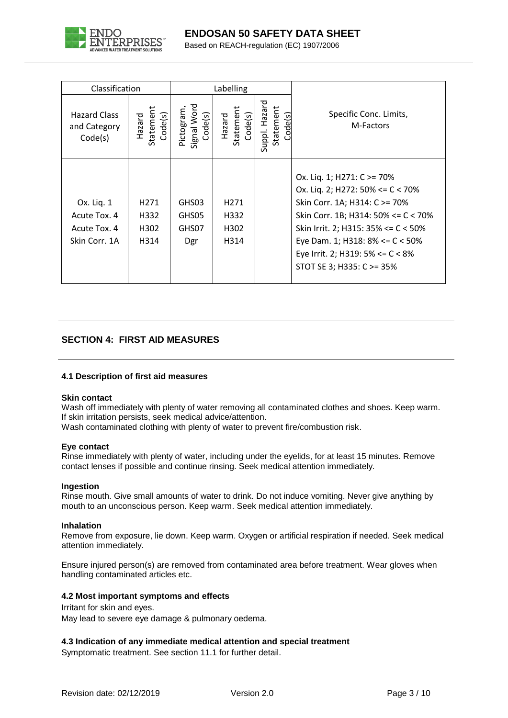

Based on REACH-regulation (EC) 1907/2006

| Classification                                              |                                          | Labelling                           |                                          |                                      |                                                                                                                                                                                                                                                                                       |
|-------------------------------------------------------------|------------------------------------------|-------------------------------------|------------------------------------------|--------------------------------------|---------------------------------------------------------------------------------------------------------------------------------------------------------------------------------------------------------------------------------------------------------------------------------------|
| <b>Hazard Class</b><br>and Category<br>Code(s)              | Statement<br>Code(s)<br>Hazard           | Signal Word<br>Pictogram<br>Code(s) | Statement<br>Code(s)<br>Hazard           | Suppl. Hazard<br>Statement<br>ode(s) | Specific Conc. Limits,<br>M-Factors                                                                                                                                                                                                                                                   |
| Ox. Liq. 1<br>Acute Tox. 4<br>Acute Tox. 4<br>Skin Corr. 1A | H <sub>271</sub><br>H332<br>H302<br>H314 | GHS03<br>GHS05<br>GHS07<br>Dgr      | H <sub>271</sub><br>H332<br>H302<br>H314 |                                      | Ox. Liq. 1; H271: C >= 70%<br>Ox. Liq. 2; H272: 50% <= C < 70%<br>Skin Corr. 1A; H314: C >= 70%<br>Skin Corr. 1B; H314: 50% $\leq C$ < 70%<br>Skin Irrit. 2; H315: 35% <= C < 50%<br>Eye Dam. 1; H318: 8% <= C < 50%<br>Eye Irrit. 2; H319: 5% <= C < 8%<br>STOT SE 3; H335: C >= 35% |

# **SECTION 4: FIRST AID MEASURES**

### **4.1 Description of first aid measures**

#### **Skin contact**

Wash off immediately with plenty of water removing all contaminated clothes and shoes. Keep warm. If skin irritation persists, seek medical advice/attention.

Wash contaminated clothing with plenty of water to prevent fire/combustion risk.

#### **Eye contact**

Rinse immediately with plenty of water, including under the eyelids, for at least 15 minutes. Remove contact lenses if possible and continue rinsing. Seek medical attention immediately.

#### **Ingestion**

Rinse mouth. Give small amounts of water to drink. Do not induce vomiting. Never give anything by mouth to an unconscious person. Keep warm. Seek medical attention immediately.

#### **Inhalation**

Remove from exposure, lie down. Keep warm. Oxygen or artificial respiration if needed. Seek medical attention immediately.

Ensure injured person(s) are removed from contaminated area before treatment. Wear gloves when handling contaminated articles etc.

#### **4.2 Most important symptoms and effects**

Irritant for skin and eyes.

May lead to severe eye damage & pulmonary oedema.

#### **4.3 Indication of any immediate medical attention and special treatment**

Symptomatic treatment. See section 11.1 for further detail.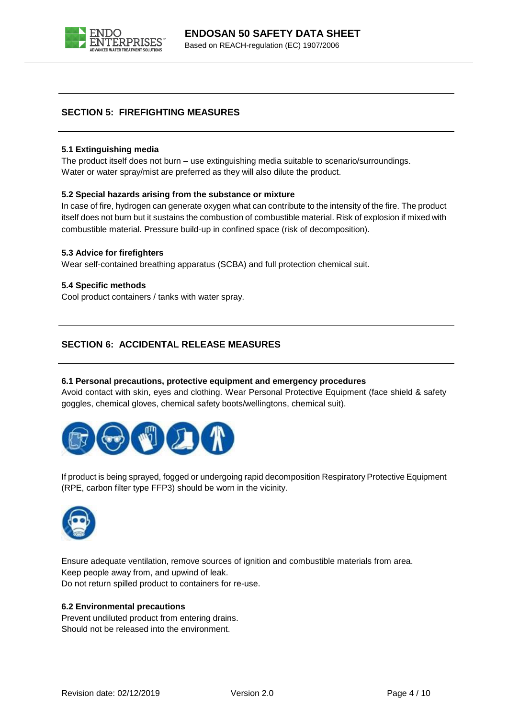

### **SECTION 5: FIREFIGHTING MEASURES**

#### **5.1 Extinguishing media**

The product itself does not burn – use extinguishing media suitable to scenario/surroundings. Water or water spray/mist are preferred as they will also dilute the product.

#### **5.2 Special hazards arising from the substance or mixture**

In case of fire, hydrogen can generate oxygen what can contribute to the intensity of the fire. The product itself does not burn but it sustains the combustion of combustible material. Risk of explosion if mixed with combustible material. Pressure build-up in confined space (risk of decomposition).

#### **5.3 Advice for firefighters**

Wear self-contained breathing apparatus (SCBA) and full protection chemical suit.

#### **5.4 Specific methods**

Cool product containers / tanks with water spray.

### **SECTION 6: ACCIDENTAL RELEASE MEASURES**

#### **6.1 Personal precautions, protective equipment and emergency procedures**

Avoid contact with skin, eyes and clothing. Wear Personal Protective Equipment (face shield & safety goggles, chemical gloves, chemical safety boots/wellingtons, chemical suit).



If product is being sprayed, fogged or undergoing rapid decomposition Respiratory Protective Equipment (RPE, carbon filter type FFP3) should be worn in the vicinity.



Ensure adequate ventilation, remove sources of ignition and combustible materials from area. Keep people away from, and upwind of leak. Do not return spilled product to containers for re-use.

#### **6.2 Environmental precautions**

Prevent undiluted product from entering drains. Should not be released into the environment.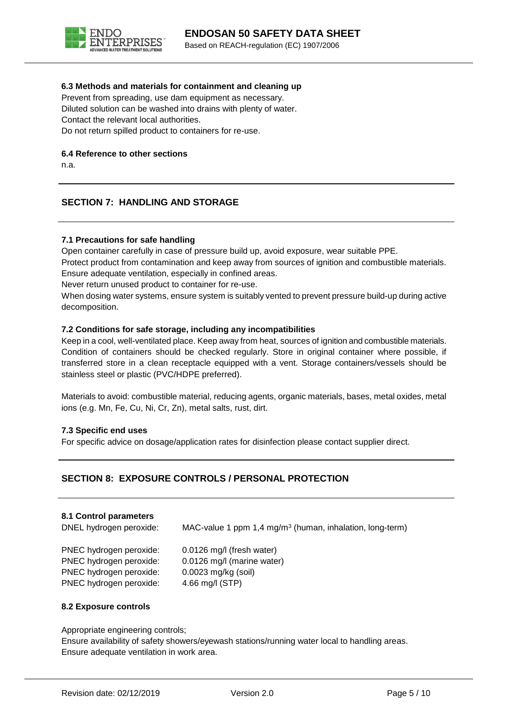

#### **6.3 Methods and materials for containment and cleaning up**

Prevent from spreading, use dam equipment as necessary. Diluted solution can be washed into drains with plenty of water. Contact the relevant local authorities. Do not return spilled product to containers for re-use.

#### **6.4 Reference to other sections**

n.a.

### **SECTION 7: HANDLING AND STORAGE**

#### **7.1 Precautions for safe handling**

Open container carefully in case of pressure build up, avoid exposure, wear suitable PPE. Protect product from contamination and keep away from sources of ignition and combustible materials. Ensure adequate ventilation, especially in confined areas.

Never return unused product to container for re-use.

When dosing water systems, ensure system is suitably vented to prevent pressure build-up during active decomposition.

#### **7.2 Conditions for safe storage, including any incompatibilities**

Keep in a cool, well-ventilated place. Keep away from heat, sources of ignition and combustible materials. Condition of containers should be checked regularly. Store in original container where possible, if transferred store in a clean receptacle equipped with a vent. Storage containers/vessels should be stainless steel or plastic (PVC/HDPE preferred).

Materials to avoid: combustible material, reducing agents, organic materials, bases, metal oxides, metal ions (e.g. Mn, Fe, Cu, Ni, Cr, Zn), metal salts, rust, dirt.

#### **7.3 Specific end uses**

For specific advice on dosage/application rates for disinfection please contact supplier direct.

### **SECTION 8: EXPOSURE CONTROLS / PERSONAL PROTECTION**

#### **8.1 Control parameters**

DNEL hydrogen peroxide: MAC-value 1 ppm 1,4 mg/m<sup>3</sup> (human, inhalation, long-term)

PNEC hydrogen peroxide: 0.0126 mg/l (fresh water) PNEC hydrogen peroxide: 0.0126 mg/l (marine water) PNEC hydrogen peroxide: 0.0023 mg/kg (soil) PNEC hydrogen peroxide: 4.66 mg/l (STP)

#### **8.2 Exposure controls**

Appropriate engineering controls;

Ensure availability of safety showers/eyewash stations/running water local to handling areas. Ensure adequate ventilation in work area.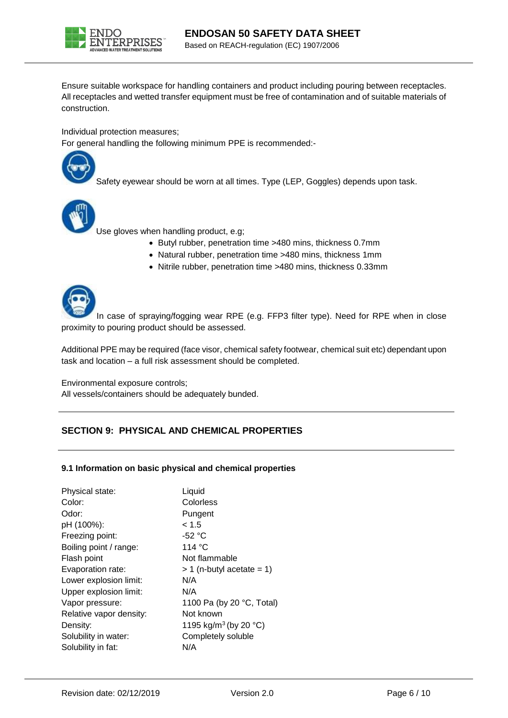

Ensure suitable workspace for handling containers and product including pouring between receptacles. All receptacles and wetted transfer equipment must be free of contamination and of suitable materials of construction.

Individual protection measures;

For general handling the following minimum PPE is recommended:-



Safety eyewear should be worn at all times. Type (LEP, Goggles) depends upon task.



Use gloves when handling product, e.g;

- Butyl rubber, penetration time >480 mins, thickness 0.7mm
- Natural rubber, penetration time >480 mins, thickness 1mm
- Nitrile rubber, penetration time >480 mins, thickness 0.33mm



In case of spraying/fogging wear RPE (e.g. FFP3 filter type). Need for RPE when in close proximity to pouring product should be assessed.

Additional PPE may be required (face visor, chemical safety footwear, chemical suit etc) dependant upon task and location – a full risk assessment should be completed.

Environmental exposure controls;

All vessels/containers should be adequately bunded.

### **SECTION 9: PHYSICAL AND CHEMICAL PROPERTIES**

#### **9.1 Information on basic physical and chemical properties**

| Physical state:         | Liquid                                      |
|-------------------------|---------------------------------------------|
| Color:                  | Colorless                                   |
| Odor:                   | Pungent                                     |
| pH (100%):              | < 1.5                                       |
| Freezing point:         | $-52 °C$                                    |
| Boiling point / range:  | 114 $\degree$ C                             |
| Flash point             | Not flammable                               |
| Evaporation rate:       | $> 1$ (n-butyl acetate = 1)                 |
| Lower explosion limit:  | N/A                                         |
| Upper explosion limit:  | N/A                                         |
| Vapor pressure:         | 1100 Pa (by 20 °C, Total)                   |
| Relative vapor density: | Not known                                   |
| Density:                | 1195 kg/m <sup>3</sup> (by 20 $^{\circ}$ C) |
| Solubility in water:    | Completely soluble                          |
| Solubility in fat:      | N/A                                         |
|                         |                                             |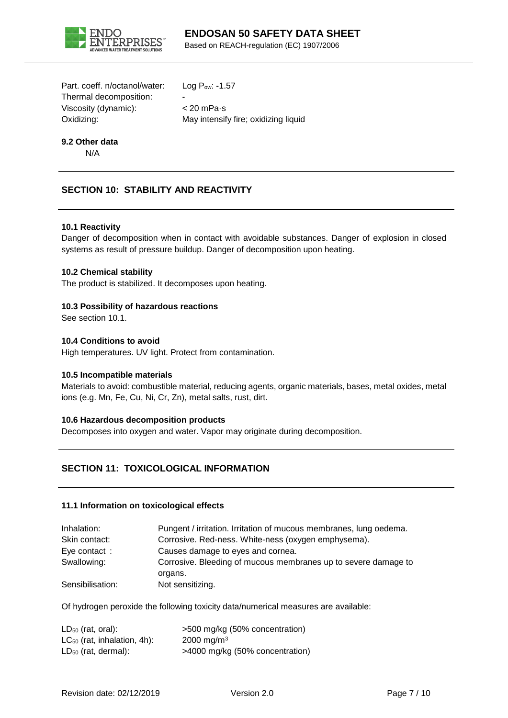

Based on REACH-regulation (EC) 1907/2006

Part. coeff. n/octanol/water: Log Pow: -1.57 Thermal decomposition: Viscosity (dynamic): < 20 mPa·s

Oxidizing: May intensify fire; oxidizing liquid

# **9.2 Other data**

N/A

# **SECTION 10: STABILITY AND REACTIVITY**

#### **10.1 Reactivity**

Danger of decomposition when in contact with avoidable substances. Danger of explosion in closed systems as result of pressure buildup. Danger of decomposition upon heating.

#### **10.2 Chemical stability**

The product is stabilized. It decomposes upon heating.

#### **10.3 Possibility of hazardous reactions**

See section 10.1.

#### **10.4 Conditions to avoid**

High temperatures. UV light. Protect from contamination.

#### **10.5 Incompatible materials**

Materials to avoid: combustible material, reducing agents, organic materials, bases, metal oxides, metal ions (e.g. Mn, Fe, Cu, Ni, Cr, Zn), metal salts, rust, dirt.

#### **10.6 Hazardous decomposition products**

Decomposes into oxygen and water. Vapor may originate during decomposition.

### **SECTION 11: TOXICOLOGICAL INFORMATION**

#### **11.1 Information on toxicological effects**

| Inhalation:      | Pungent / irritation. Irritation of mucous membranes, lung oedema. |
|------------------|--------------------------------------------------------------------|
| Skin contact:    | Corrosive. Red-ness. White-ness (oxygen emphysema).                |
| Eye contact:     | Causes damage to eyes and cornea.                                  |
| Swallowing:      | Corrosive. Bleeding of mucous membranes up to severe damage to     |
|                  | organs.                                                            |
| Sensibilisation: | Not sensitizing.                                                   |

Of hydrogen peroxide the following toxicity data/numerical measures are available:

| $LD_{50}$ (rat, oral):           | >500 mg/kg (50% concentration)  |
|----------------------------------|---------------------------------|
| $LC_{50}$ (rat, inhalation, 4h): | $2000 \; \text{ma/m}^3$         |
| $LD_{50}$ (rat, dermal):         | >4000 mg/kg (50% concentration) |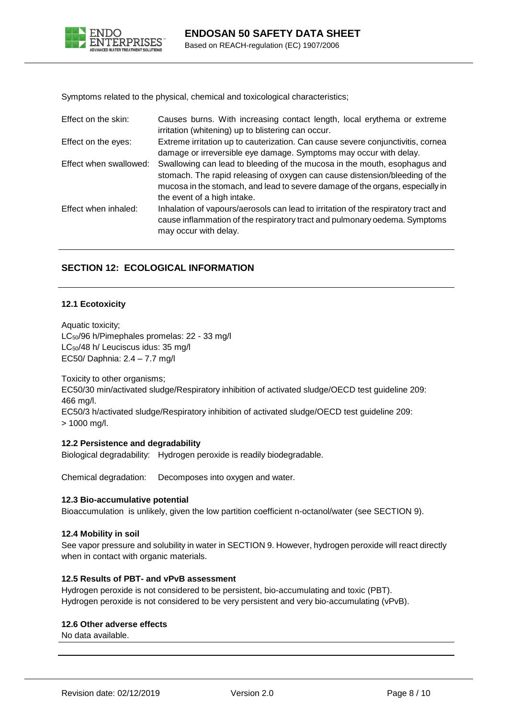

Symptoms related to the physical, chemical and toxicological characteristics;

| Effect on the skin:    | Causes burns. With increasing contact length, local erythema or extreme<br>irritation (whitening) up to blistering can occur.                                                                                                                                            |
|------------------------|--------------------------------------------------------------------------------------------------------------------------------------------------------------------------------------------------------------------------------------------------------------------------|
| Effect on the eyes:    | Extreme irritation up to cauterization. Can cause severe conjunctivitis, cornea<br>damage or irreversible eye damage. Symptoms may occur with delay.                                                                                                                     |
| Effect when swallowed: | Swallowing can lead to bleeding of the mucosa in the mouth, esophagus and<br>stomach. The rapid releasing of oxygen can cause distension/bleeding of the<br>mucosa in the stomach, and lead to severe damage of the organs, especially in<br>the event of a high intake. |
| Effect when inhaled:   | Inhalation of vapours/aerosols can lead to irritation of the respiratory tract and<br>cause inflammation of the respiratory tract and pulmonary oedema. Symptoms<br>may occur with delay.                                                                                |

### **SECTION 12: ECOLOGICAL INFORMATION**

#### **12.1 Ecotoxicity**

Aquatic toxicity; LC50/96 h/Pimephales promelas: 22 - 33 mg/l LC<sub>50</sub>/48 h/ Leuciscus idus: 35 mg/l EC50/ Daphnia: 2.4 – 7.7 mg/l

Toxicity to other organisms; EC50/30 min/activated sludge/Respiratory inhibition of activated sludge/OECD test guideline 209: 466 mg/l. EC50/3 h/activated sludge/Respiratory inhibition of activated sludge/OECD test guideline 209: > 1000 mg/l.

#### **12.2 Persistence and degradability**

Biological degradability: Hydrogen peroxide is readily biodegradable.

Chemical degradation: Decomposes into oxygen and water.

#### **12.3 Bio-accumulative potential**

Bioaccumulation is unlikely, given the low partition coefficient n-octanol/water (see SECTION 9).

#### **12.4 Mobility in soil**

See vapor pressure and solubility in water in SECTION 9. However, hydrogen peroxide will react directly when in contact with organic materials.

#### **12.5 Results of PBT- and vPvB assessment**

Hydrogen peroxide is not considered to be persistent, bio-accumulating and toxic (PBT). Hydrogen peroxide is not considered to be very persistent and very bio-accumulating (vPvB).

#### **12.6 Other adverse effects**

No data available.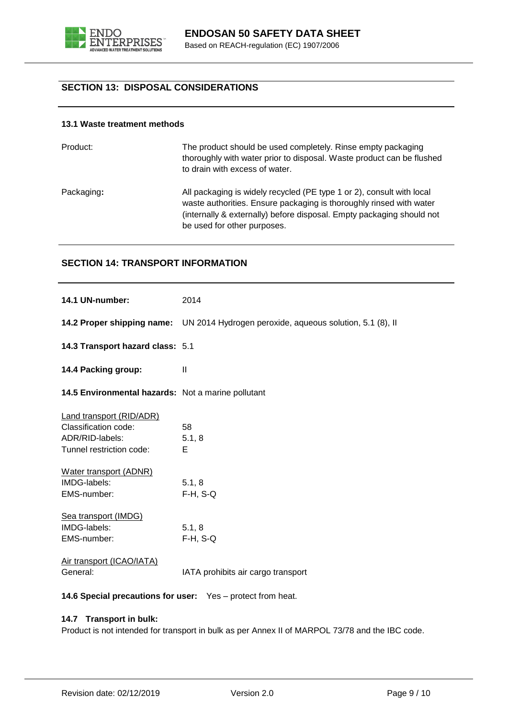

### **SECTION 13: DISPOSAL CONSIDERATIONS**

#### **13.1 Waste treatment methods**

| Product:   | The product should be used completely. Rinse empty packaging<br>thoroughly with water prior to disposal. Waste product can be flushed<br>to drain with excess of water.                                                                              |
|------------|------------------------------------------------------------------------------------------------------------------------------------------------------------------------------------------------------------------------------------------------------|
| Packaging: | All packaging is widely recycled (PE type 1 or 2), consult with local<br>waste authorities. Ensure packaging is thoroughly rinsed with water<br>(internally & externally) before disposal. Empty packaging should not<br>be used for other purposes. |

#### **SECTION 14: TRANSPORT INFORMATION**

| 14.1 UN-number:                                                                                        | 2014                                                                                |
|--------------------------------------------------------------------------------------------------------|-------------------------------------------------------------------------------------|
|                                                                                                        | 14.2 Proper shipping name: UN 2014 Hydrogen peroxide, aqueous solution, 5.1 (8), II |
| 14.3 Transport hazard class: 5.1                                                                       |                                                                                     |
| 14.4 Packing group:                                                                                    | $\mathbf{I}$                                                                        |
| 14.5 Environmental hazards: Not a marine pollutant                                                     |                                                                                     |
| <b>Land transport (RID/ADR)</b><br>Classification code:<br>ADR/RID-labels:<br>Tunnel restriction code: | 58<br>5.1, 8<br>Е                                                                   |
| Water transport (ADNR)<br>IMDG-labels:<br>EMS-number:                                                  | 5.1, 8<br>$F-H$ , S-Q                                                               |
| Sea transport (IMDG)<br>IMDG-labels:<br>EMS-number:                                                    | 5.1, 8<br>$F-H$ , S-Q                                                               |
| Air transport (ICAO/IATA)<br>General:                                                                  | IATA prohibits air cargo transport                                                  |

**14.6 Special precautions for user:** Yes – protect from heat.

### **14.7 Transport in bulk:**

Product is not intended for transport in bulk as per Annex II of MARPOL 73/78 and the IBC code.